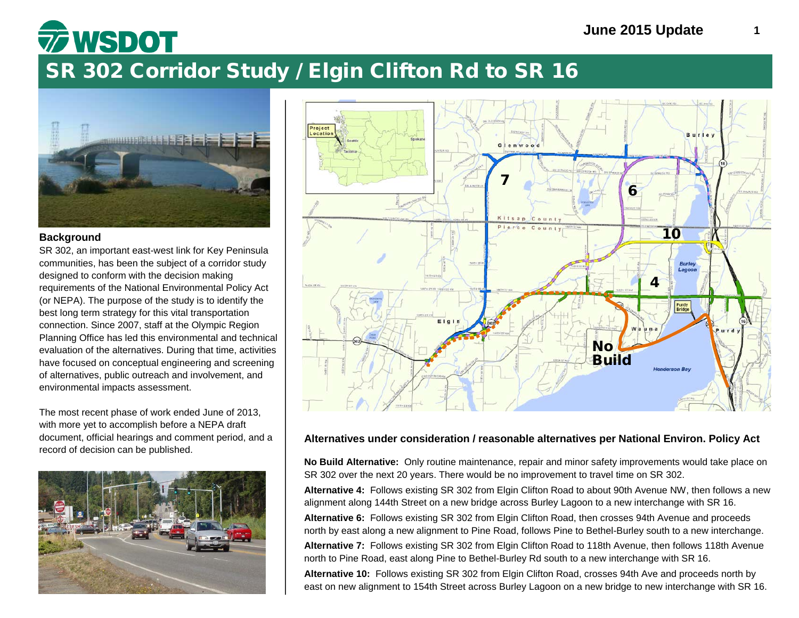## SR 302 Corridor Study / Elgin Clifton Rd to SR 16



**WSDOT** 

### **Background**

SR 302, an important east-west link for Key Peninsula communities, has been the subject of a corridor study designed to conform with the decision making requirements of the National Environmental Policy Act (or NEPA). The purpose of the study is to identify the best long term strategy for this vital transportation connection. Since 2007, staff at the Olympic Region Planning Office has led this environmental and technical evaluation of the alternatives. During that time, activities have focused on conceptual engineering and screening of alternatives, public outreach and involvement, and environmental impacts assessment.

The most recent phase of work ended June of 2013, with more yet to accomplish before a NEPA draft document, official hearings and comment period, and a record of decision can be published.





### **Alternatives under consideration / reasonable alternatives per National Environ. Policy Act**

**No Build Alternative:** Only routine maintenance, repair and minor safety improvements would take place on SR 302 over the next 20 years. There would be no improvement to travel time on SR 302.

**Alternative 4:** Follows existing SR 302 from Elgin Clifton Road to about 90th Avenue NW, then follows a new alignment along 144th Street on a new bridge across Burley Lagoon to a new interchange with SR 16.

**Alternative 6:** Follows existing SR 302 from Elgin Clifton Road, then crosses 94th Avenue and proceeds north by east along a new alignment to Pine Road, follows Pine to Bethel-Burley south to a new interchange.

**Alternative 7:** Follows existing SR 302 from Elgin Clifton Road to 118th Avenue, then follows 118th Avenue north to Pine Road, east along Pine to Bethel-Burley Rd south to a new interchange with SR 16.

**Alternative 10:** Follows existing SR 302 from Elgin Clifton Road, crosses 94th Ave and proceeds north by east on new alignment to 154th Street across Burley Lagoon on a new bridge to new interchange with SR 16.